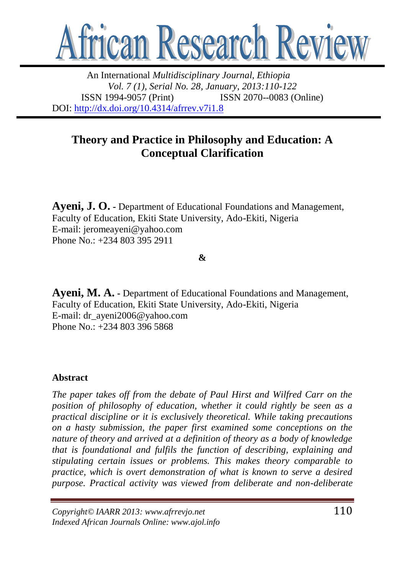

An International *Multidisciplinary Journal, Ethiopia Vol. 7 (1), Serial No. 28, January, 2013:110-122* ISSN 1994-9057 (Print) ISSN 2070--0083 (Online) DOI: <http://dx.doi.org/10.4314/afrrev.v7i1.8>

# **Theory and Practice in Philosophy and Education: A Conceptual Clarification**

**Ayeni, J. O. -** Department of Educational Foundations and Management, Faculty of Education, Ekiti State University, Ado-Ekiti, Nigeria E-mail: jeromeayeni@yahoo.com Phone No.: +234 803 395 2911

#### **&**

**Ayeni, M. A. -** Department of Educational Foundations and Management, Faculty of Education, Ekiti State University, Ado-Ekiti, Nigeria E-mail: dr\_ayeni2006@yahoo.com Phone No.: +234 803 396 5868

#### **Abstract**

*The paper takes off from the debate of Paul Hirst and Wilfred Carr on the position of philosophy of education, whether it could rightly be seen as a practical discipline or it is exclusively theoretical. While taking precautions on a hasty submission, the paper first examined some conceptions on the nature of theory and arrived at a definition of theory as a body of knowledge that is foundational and fulfils the function of describing, explaining and stipulating certain issues or problems. This makes theory comparable to practice, which is overt demonstration of what is known to serve a desired purpose. Practical activity was viewed from deliberate and non-deliberate* 

*Copyright© IAARR 2013: www.afrrevjo.net* 110 *Indexed African Journals Online: www.ajol.info*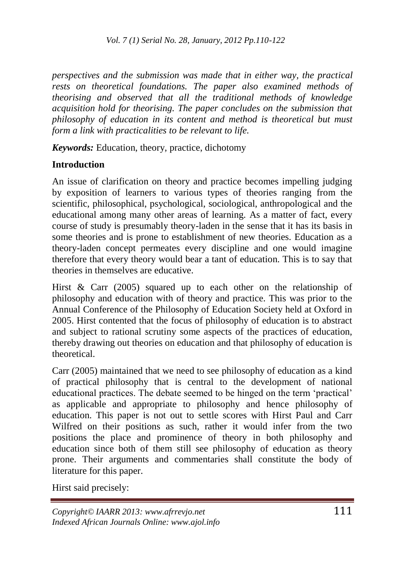*perspectives and the submission was made that in either way, the practical rests on theoretical foundations. The paper also examined methods of theorising and observed that all the traditional methods of knowledge acquisition hold for theorising. The paper concludes on the submission that philosophy of education in its content and method is theoretical but must form a link with practicalities to be relevant to life.*

*Keywords:* Education, theory, practice, dichotomy

### **Introduction**

An issue of clarification on theory and practice becomes impelling judging by exposition of learners to various types of theories ranging from the scientific, philosophical, psychological, sociological, anthropological and the educational among many other areas of learning. As a matter of fact, every course of study is presumably theory-laden in the sense that it has its basis in some theories and is prone to establishment of new theories. Education as a theory-laden concept permeates every discipline and one would imagine therefore that every theory would bear a tant of education. This is to say that theories in themselves are educative.

Hirst & Carr (2005) squared up to each other on the relationship of philosophy and education with of theory and practice. This was prior to the Annual Conference of the Philosophy of Education Society held at Oxford in 2005. Hirst contented that the focus of philosophy of education is to abstract and subject to rational scrutiny some aspects of the practices of education, thereby drawing out theories on education and that philosophy of education is theoretical.

Carr (2005) maintained that we need to see philosophy of education as a kind of practical philosophy that is central to the development of national educational practices. The debate seemed to be hinged on the term 'practical' as applicable and appropriate to philosophy and hence philosophy of education. This paper is not out to settle scores with Hirst Paul and Carr Wilfred on their positions as such, rather it would infer from the two positions the place and prominence of theory in both philosophy and education since both of them still see philosophy of education as theory prone. Their arguments and commentaries shall constitute the body of literature for this paper.

Hirst said precisely: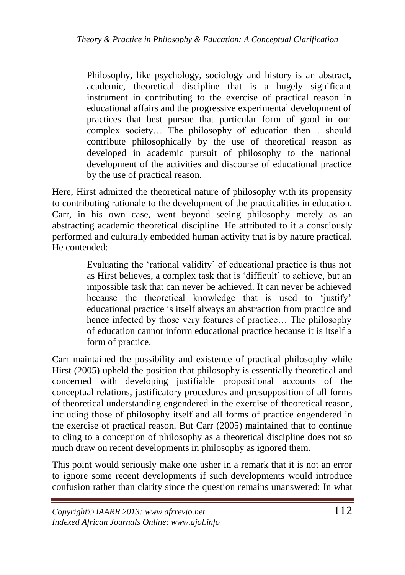Philosophy, like psychology, sociology and history is an abstract, academic, theoretical discipline that is a hugely significant instrument in contributing to the exercise of practical reason in educational affairs and the progressive experimental development of practices that best pursue that particular form of good in our complex society… The philosophy of education then… should contribute philosophically by the use of theoretical reason as developed in academic pursuit of philosophy to the national development of the activities and discourse of educational practice by the use of practical reason.

Here, Hirst admitted the theoretical nature of philosophy with its propensity to contributing rationale to the development of the practicalities in education. Carr, in his own case, went beyond seeing philosophy merely as an abstracting academic theoretical discipline. He attributed to it a consciously performed and culturally embedded human activity that is by nature practical. He contended:

> Evaluating the 'rational validity' of educational practice is thus not as Hirst believes, a complex task that is 'difficult' to achieve, but an impossible task that can never be achieved. It can never be achieved because the theoretical knowledge that is used to 'justify' educational practice is itself always an abstraction from practice and hence infected by those very features of practice… The philosophy of education cannot inform educational practice because it is itself a form of practice.

Carr maintained the possibility and existence of practical philosophy while Hirst (2005) upheld the position that philosophy is essentially theoretical and concerned with developing justifiable propositional accounts of the conceptual relations, justificatory procedures and presupposition of all forms of theoretical understanding engendered in the exercise of theoretical reason, including those of philosophy itself and all forms of practice engendered in the exercise of practical reason. But Carr (2005) maintained that to continue to cling to a conception of philosophy as a theoretical discipline does not so much draw on recent developments in philosophy as ignored them.

This point would seriously make one usher in a remark that it is not an error to ignore some recent developments if such developments would introduce confusion rather than clarity since the question remains unanswered: In what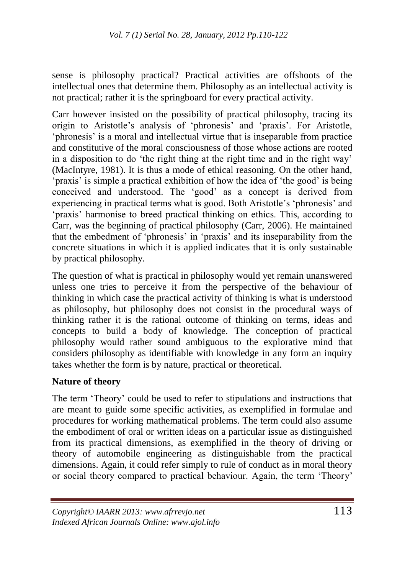sense is philosophy practical? Practical activities are offshoots of the intellectual ones that determine them. Philosophy as an intellectual activity is not practical; rather it is the springboard for every practical activity.

Carr however insisted on the possibility of practical philosophy, tracing its origin to Aristotle's analysis of 'phronesis' and 'praxis'. For Aristotle, ‗phronesis' is a moral and intellectual virtue that is inseparable from practice and constitutive of the moral consciousness of those whose actions are rooted in a disposition to do 'the right thing at the right time and in the right way' (MacIntyre, 1981). It is thus a mode of ethical reasoning. On the other hand, 'praxis' is simple a practical exhibition of how the idea of 'the good' is being conceived and understood. The ‗good' as a concept is derived from experiencing in practical terms what is good. Both Aristotle's 'phronesis' and ‗praxis' harmonise to breed practical thinking on ethics. This, according to Carr, was the beginning of practical philosophy (Carr, 2006). He maintained that the embedment of 'phronesis' in 'praxis' and its inseparability from the concrete situations in which it is applied indicates that it is only sustainable by practical philosophy.

The question of what is practical in philosophy would yet remain unanswered unless one tries to perceive it from the perspective of the behaviour of thinking in which case the practical activity of thinking is what is understood as philosophy, but philosophy does not consist in the procedural ways of thinking rather it is the rational outcome of thinking on terms, ideas and concepts to build a body of knowledge. The conception of practical philosophy would rather sound ambiguous to the explorative mind that considers philosophy as identifiable with knowledge in any form an inquiry takes whether the form is by nature, practical or theoretical.

# **Nature of theory**

The term 'Theory' could be used to refer to stipulations and instructions that are meant to guide some specific activities, as exemplified in formulae and procedures for working mathematical problems. The term could also assume the embodiment of oral or written ideas on a particular issue as distinguished from its practical dimensions, as exemplified in the theory of driving or theory of automobile engineering as distinguishable from the practical dimensions. Again, it could refer simply to rule of conduct as in moral theory or social theory compared to practical behaviour. Again, the term 'Theory'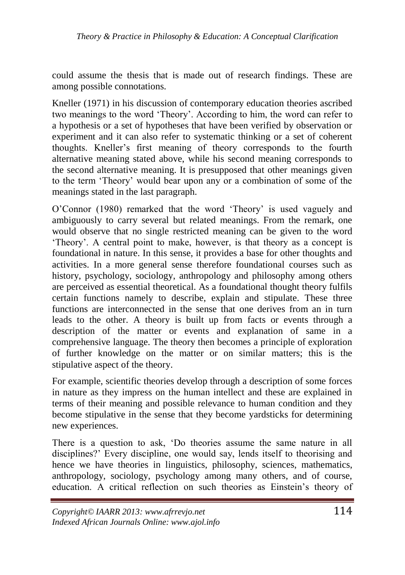*Theory & Practice in Philosophy & Education: A Conceptual Clarification*

could assume the thesis that is made out of research findings. These are among possible connotations.

Kneller (1971) in his discussion of contemporary education theories ascribed two meanings to the word 'Theory'. According to him, the word can refer to a hypothesis or a set of hypotheses that have been verified by observation or experiment and it can also refer to systematic thinking or a set of coherent thoughts. Kneller's first meaning of theory corresponds to the fourth alternative meaning stated above, while his second meaning corresponds to the second alternative meaning. It is presupposed that other meanings given to the term ‗Theory' would bear upon any or a combination of some of the meanings stated in the last paragraph.

O'Connor (1980) remarked that the word 'Theory' is used vaguely and ambiguously to carry several but related meanings. From the remark, one would observe that no single restricted meaning can be given to the word ‗Theory'. A central point to make, however, is that theory as a concept is foundational in nature. In this sense, it provides a base for other thoughts and activities. In a more general sense therefore foundational courses such as history, psychology, sociology, anthropology and philosophy among others are perceived as essential theoretical. As a foundational thought theory fulfils certain functions namely to describe, explain and stipulate. These three functions are interconnected in the sense that one derives from an in turn leads to the other. A theory is built up from facts or events through a description of the matter or events and explanation of same in a comprehensive language. The theory then becomes a principle of exploration of further knowledge on the matter or on similar matters; this is the stipulative aspect of the theory.

For example, scientific theories develop through a description of some forces in nature as they impress on the human intellect and these are explained in terms of their meaning and possible relevance to human condition and they become stipulative in the sense that they become yardsticks for determining new experiences.

There is a question to ask, 'Do theories assume the same nature in all disciplines?' Every discipline, one would say, lends itself to theorising and hence we have theories in linguistics, philosophy, sciences, mathematics, anthropology, sociology, psychology among many others, and of course, education. A critical reflection on such theories as Einstein's theory of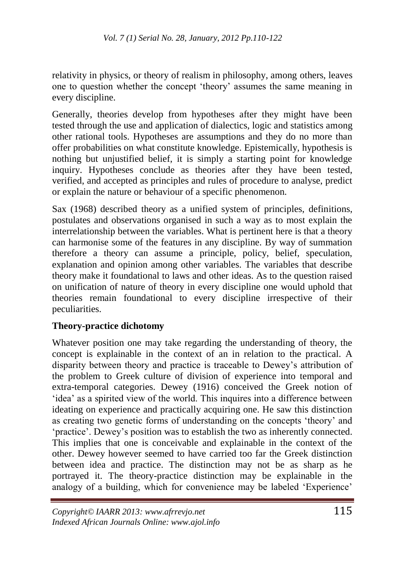relativity in physics, or theory of realism in philosophy, among others, leaves one to question whether the concept ‗theory' assumes the same meaning in every discipline.

Generally, theories develop from hypotheses after they might have been tested through the use and application of dialectics, logic and statistics among other rational tools. Hypotheses are assumptions and they do no more than offer probabilities on what constitute knowledge. Epistemically, hypothesis is nothing but unjustified belief, it is simply a starting point for knowledge inquiry. Hypotheses conclude as theories after they have been tested, verified, and accepted as principles and rules of procedure to analyse, predict or explain the nature or behaviour of a specific phenomenon.

Sax (1968) described theory as a unified system of principles, definitions, postulates and observations organised in such a way as to most explain the interrelationship between the variables. What is pertinent here is that a theory can harmonise some of the features in any discipline. By way of summation therefore a theory can assume a principle, policy, belief, speculation, explanation and opinion among other variables. The variables that describe theory make it foundational to laws and other ideas. As to the question raised on unification of nature of theory in every discipline one would uphold that theories remain foundational to every discipline irrespective of their peculiarities.

### **Theory-practice dichotomy**

Whatever position one may take regarding the understanding of theory, the concept is explainable in the context of an in relation to the practical. A disparity between theory and practice is traceable to Dewey's attribution of the problem to Greek culture of division of experience into temporal and extra-temporal categories. Dewey (1916) conceived the Greek notion of ‗idea' as a spirited view of the world. This inquires into a difference between ideating on experience and practically acquiring one. He saw this distinction as creating two genetic forms of understanding on the concepts 'theory' and ‗practice'. Dewey's position was to establish the two as inherently connected. This implies that one is conceivable and explainable in the context of the other. Dewey however seemed to have carried too far the Greek distinction between idea and practice. The distinction may not be as sharp as he portrayed it. The theory-practice distinction may be explainable in the analogy of a building, which for convenience may be labeled 'Experience'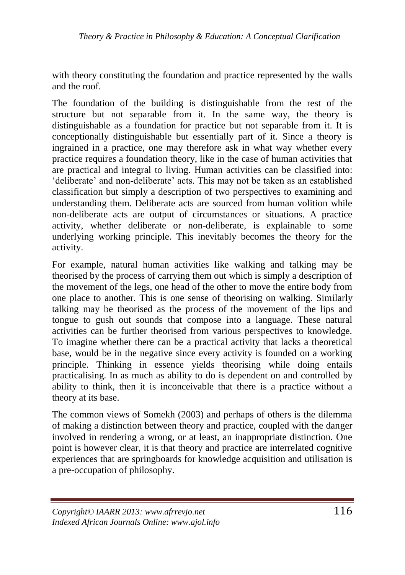with theory constituting the foundation and practice represented by the walls and the roof.

The foundation of the building is distinguishable from the rest of the structure but not separable from it. In the same way, the theory is distinguishable as a foundation for practice but not separable from it. It is conceptionally distinguishable but essentially part of it. Since a theory is ingrained in a practice, one may therefore ask in what way whether every practice requires a foundation theory, like in the case of human activities that are practical and integral to living. Human activities can be classified into: ‗deliberate' and non-deliberate' acts. This may not be taken as an established classification but simply a description of two perspectives to examining and understanding them. Deliberate acts are sourced from human volition while non-deliberate acts are output of circumstances or situations. A practice activity, whether deliberate or non-deliberate, is explainable to some underlying working principle. This inevitably becomes the theory for the activity.

For example, natural human activities like walking and talking may be theorised by the process of carrying them out which is simply a description of the movement of the legs, one head of the other to move the entire body from one place to another. This is one sense of theorising on walking. Similarly talking may be theorised as the process of the movement of the lips and tongue to gush out sounds that compose into a language. These natural activities can be further theorised from various perspectives to knowledge. To imagine whether there can be a practical activity that lacks a theoretical base, would be in the negative since every activity is founded on a working principle. Thinking in essence yields theorising while doing entails practicalising. In as much as ability to do is dependent on and controlled by ability to think, then it is inconceivable that there is a practice without a theory at its base.

The common views of Somekh (2003) and perhaps of others is the dilemma of making a distinction between theory and practice, coupled with the danger involved in rendering a wrong, or at least, an inappropriate distinction. One point is however clear, it is that theory and practice are interrelated cognitive experiences that are springboards for knowledge acquisition and utilisation is a pre-occupation of philosophy.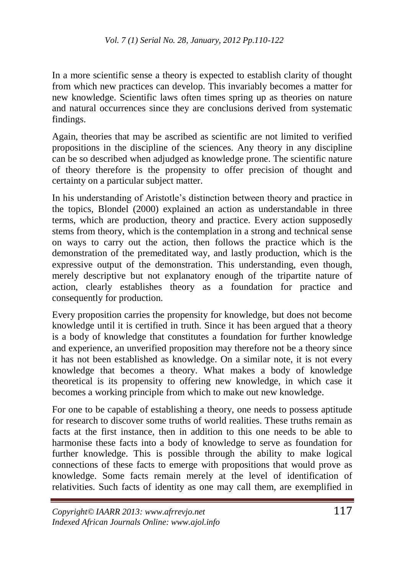In a more scientific sense a theory is expected to establish clarity of thought from which new practices can develop. This invariably becomes a matter for new knowledge. Scientific laws often times spring up as theories on nature and natural occurrences since they are conclusions derived from systematic findings.

Again, theories that may be ascribed as scientific are not limited to verified propositions in the discipline of the sciences. Any theory in any discipline can be so described when adjudged as knowledge prone. The scientific nature of theory therefore is the propensity to offer precision of thought and certainty on a particular subject matter.

In his understanding of Aristotle's distinction between theory and practice in the topics, Blondel (2000) explained an action as understandable in three terms, which are production, theory and practice. Every action supposedly stems from theory, which is the contemplation in a strong and technical sense on ways to carry out the action, then follows the practice which is the demonstration of the premeditated way, and lastly production, which is the expressive output of the demonstration. This understanding, even though, merely descriptive but not explanatory enough of the tripartite nature of action, clearly establishes theory as a foundation for practice and consequently for production.

Every proposition carries the propensity for knowledge, but does not become knowledge until it is certified in truth. Since it has been argued that a theory is a body of knowledge that constitutes a foundation for further knowledge and experience, an unverified proposition may therefore not be a theory since it has not been established as knowledge. On a similar note, it is not every knowledge that becomes a theory. What makes a body of knowledge theoretical is its propensity to offering new knowledge, in which case it becomes a working principle from which to make out new knowledge.

For one to be capable of establishing a theory, one needs to possess aptitude for research to discover some truths of world realities. These truths remain as facts at the first instance, then in addition to this one needs to be able to harmonise these facts into a body of knowledge to serve as foundation for further knowledge. This is possible through the ability to make logical connections of these facts to emerge with propositions that would prove as knowledge. Some facts remain merely at the level of identification of relativities. Such facts of identity as one may call them, are exemplified in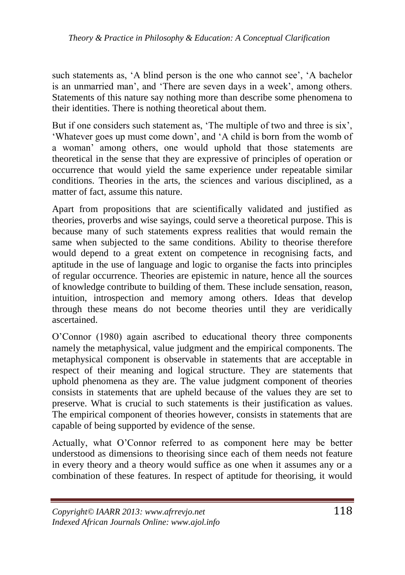such statements as, 'A blind person is the one who cannot see', 'A bachelor is an unmarried man', and 'There are seven days in a week', among others. Statements of this nature say nothing more than describe some phenomena to their identities. There is nothing theoretical about them.

But if one considers such statement as, 'The multiple of two and three is six'. ‗Whatever goes up must come down', and ‗A child is born from the womb of a woman' among others, one would uphold that those statements are theoretical in the sense that they are expressive of principles of operation or occurrence that would yield the same experience under repeatable similar conditions. Theories in the arts, the sciences and various disciplined, as a matter of fact, assume this nature.

Apart from propositions that are scientifically validated and justified as theories, proverbs and wise sayings, could serve a theoretical purpose. This is because many of such statements express realities that would remain the same when subjected to the same conditions. Ability to theorise therefore would depend to a great extent on competence in recognising facts, and aptitude in the use of language and logic to organise the facts into principles of regular occurrence. Theories are epistemic in nature, hence all the sources of knowledge contribute to building of them. These include sensation, reason, intuition, introspection and memory among others. Ideas that develop through these means do not become theories until they are veridically ascertained.

O'Connor (1980) again ascribed to educational theory three components namely the metaphysical, value judgment and the empirical components. The metaphysical component is observable in statements that are acceptable in respect of their meaning and logical structure. They are statements that uphold phenomena as they are. The value judgment component of theories consists in statements that are upheld because of the values they are set to preserve. What is crucial to such statements is their justification as values. The empirical component of theories however, consists in statements that are capable of being supported by evidence of the sense.

Actually, what O'Connor referred to as component here may be better understood as dimensions to theorising since each of them needs not feature in every theory and a theory would suffice as one when it assumes any or a combination of these features. In respect of aptitude for theorising, it would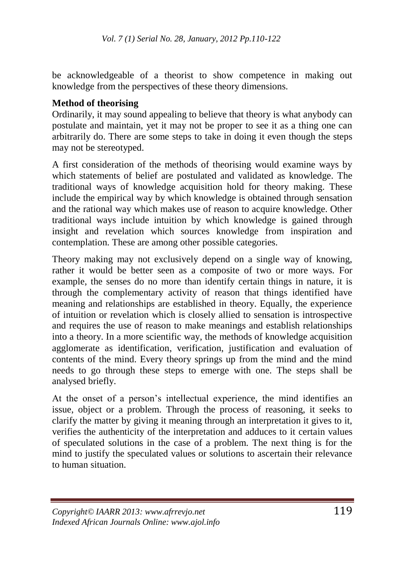be acknowledgeable of a theorist to show competence in making out knowledge from the perspectives of these theory dimensions.

## **Method of theorising**

Ordinarily, it may sound appealing to believe that theory is what anybody can postulate and maintain, yet it may not be proper to see it as a thing one can arbitrarily do. There are some steps to take in doing it even though the steps may not be stereotyped.

A first consideration of the methods of theorising would examine ways by which statements of belief are postulated and validated as knowledge. The traditional ways of knowledge acquisition hold for theory making. These include the empirical way by which knowledge is obtained through sensation and the rational way which makes use of reason to acquire knowledge. Other traditional ways include intuition by which knowledge is gained through insight and revelation which sources knowledge from inspiration and contemplation. These are among other possible categories.

Theory making may not exclusively depend on a single way of knowing, rather it would be better seen as a composite of two or more ways. For example, the senses do no more than identify certain things in nature, it is through the complementary activity of reason that things identified have meaning and relationships are established in theory. Equally, the experience of intuition or revelation which is closely allied to sensation is introspective and requires the use of reason to make meanings and establish relationships into a theory. In a more scientific way, the methods of knowledge acquisition agglomerate as identification, verification, justification and evaluation of contents of the mind. Every theory springs up from the mind and the mind needs to go through these steps to emerge with one. The steps shall be analysed briefly.

At the onset of a person's intellectual experience, the mind identifies an issue, object or a problem. Through the process of reasoning, it seeks to clarify the matter by giving it meaning through an interpretation it gives to it, verifies the authenticity of the interpretation and adduces to it certain values of speculated solutions in the case of a problem. The next thing is for the mind to justify the speculated values or solutions to ascertain their relevance to human situation.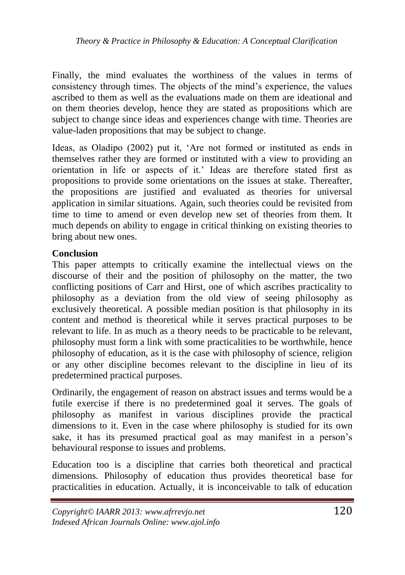Finally, the mind evaluates the worthiness of the values in terms of consistency through times. The objects of the mind's experience, the values ascribed to them as well as the evaluations made on them are ideational and on them theories develop, hence they are stated as propositions which are subject to change since ideas and experiences change with time. Theories are value-laden propositions that may be subject to change.

Ideas, as Oladipo (2002) put it, ‗Are not formed or instituted as ends in themselves rather they are formed or instituted with a view to providing an orientation in life or aspects of it.' Ideas are therefore stated first as propositions to provide some orientations on the issues at stake. Thereafter, the propositions are justified and evaluated as theories for universal application in similar situations. Again, such theories could be revisited from time to time to amend or even develop new set of theories from them. It much depends on ability to engage in critical thinking on existing theories to bring about new ones.

# **Conclusion**

This paper attempts to critically examine the intellectual views on the discourse of their and the position of philosophy on the matter, the two conflicting positions of Carr and Hirst, one of which ascribes practicality to philosophy as a deviation from the old view of seeing philosophy as exclusively theoretical. A possible median position is that philosophy in its content and method is theoretical while it serves practical purposes to be relevant to life. In as much as a theory needs to be practicable to be relevant, philosophy must form a link with some practicalities to be worthwhile, hence philosophy of education, as it is the case with philosophy of science, religion or any other discipline becomes relevant to the discipline in lieu of its predetermined practical purposes.

Ordinarily, the engagement of reason on abstract issues and terms would be a futile exercise if there is no predetermined goal it serves. The goals of philosophy as manifest in various disciplines provide the practical dimensions to it. Even in the case where philosophy is studied for its own sake, it has its presumed practical goal as may manifest in a person's behavioural response to issues and problems.

Education too is a discipline that carries both theoretical and practical dimensions. Philosophy of education thus provides theoretical base for practicalities in education. Actually, it is inconceivable to talk of education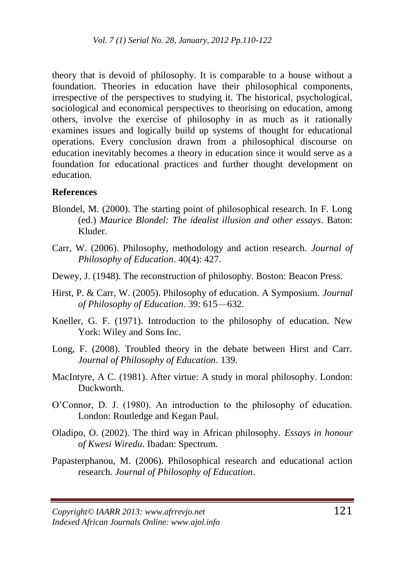theory that is devoid of philosophy. It is comparable to a house without a foundation. Theories in education have their philosophical components, irrespective of the perspectives to studying it. The historical, psychological, sociological and economical perspectives to theorising on education, among others, involve the exercise of philosophy in as much as it rationally examines issues and logically build up systems of thought for educational operations. Every conclusion drawn from a philosophical discourse on education inevitably becomes a theory in education since it would serve as a foundation for educational practices and further thought development on education.

### **References**

- Blondel, M. (2000). The starting point of philosophical research. In F. Long (ed.) *Maurice Blondel: The idealist illusion and other essays*. Baton: Kluder.
- Carr, W. (2006). Philosophy, methodology and action research. *Journal of Philosophy of Education*. 40(4): 427.
- Dewey, J. (1948). The reconstruction of philosophy. Boston: Beacon Press.
- Hirst, P. & Carr, W. (2005). Philosophy of education. A Symposium. *Journal of Philosophy of Education*. 39: 615—632.
- Kneller, G. F. (1971). Introduction to the philosophy of education. New York: Wiley and Sons Inc.
- Long, F. (2008). Troubled theory in the debate between Hirst and Carr. *Journal of Philosophy of Education*. 139.
- MacIntyre, A C. (1981). After virtue: A study in moral philosophy. London: Duckworth.
- O'Connor, D. J. (1980). An introduction to the philosophy of education. London: Routledge and Kegan Paul.
- Oladipo, O. (2002). The third way in African philosophy. *Essays in honour of Kwesi Wiredu*. Ibadan: Spectrum.
- Papasterphanou, M. (2006). Philosophical research and educational action research. *Journal of Philosophy of Education*.